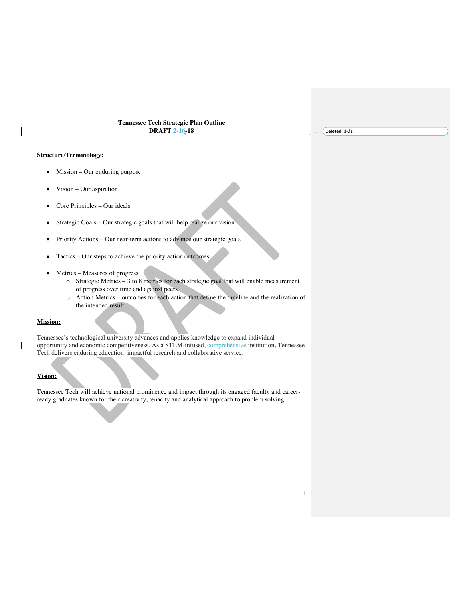#### **Tennessee Tech Strategic Plan Outline DRAFT 2-16-18**

**Deleted: 1-31**

# **Structure/Terminology:**

- Mission Our enduring purpose
- Vision Our aspiration
- Core Principles Our ideals
- Strategic Goals Our strategic goals that will help realize our vision
- Priority Actions Our near-term actions to advance our strategic goals
- Tactics Our steps to achieve the priority action outcomes
- Metrics Measures of progress
	- o Strategic Metrics 3 to 8 metrics for each strategic goal that will enable measurement of progress over time and against peers
	- o Action Metrics outcomes for each action that define the timeline and the realization of the intended result

#### **Mission:**

Tennessee's technological university advances and applies knowledge to expand individual opportunity and economic competitiveness. As a STEM-infused, comprehensive institution, Tennessee Tech delivers enduring education, impactful research and collaborative service.

## **Vision:**

Tennessee Tech will achieve national prominence and impact through its engaged faculty and careerready graduates known for their creativity, tenacity and analytical approach to problem solving.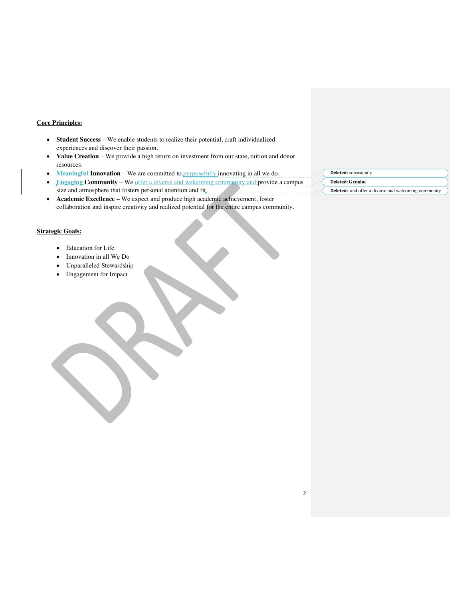### **Core Principles:**

- **Student Success** We enable students to realize their potential, craft individualized experiences and discover their passion.
- **Value Creation** We provide a high return on investment from our state, tuition and donor resources.
- **Meaningful Innovation** We are committed to purposefully innovating in all we do.
- **Engaging Community** We offer a diverse and welcoming community and provide a campus
- size and atmosphere that fosters personal attention and fit. • **Academic Excellence** – We expect and produce high academic achievement, foster
- collaboration and inspire creativity and realized potential for the entire campus community.

### **Strategic Goals:**

- Education for Life
- Innovation in all We Do
- Unparalleled Stewardship
- Engagement for Impact
- **Deleted:** consistently
- **Deleted: Genuine**
- **Deleted:** and offer a diverse and welcoming community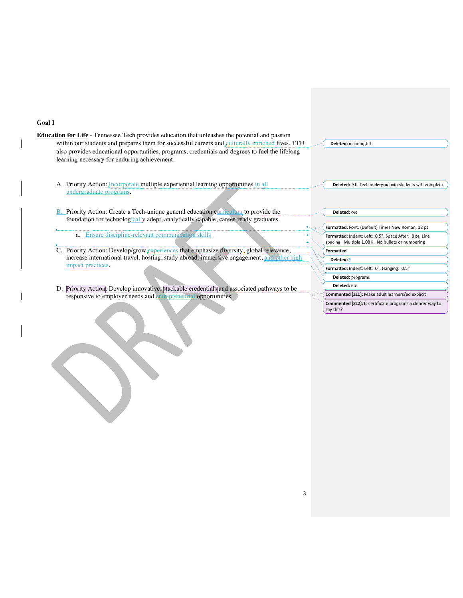#### **Goal I**

- **Education for Life** Tennessee Tech provides education that unleashes the potential and passion within our students and prepares them for successful careers and culturally enriched lives. TTU also provides educational opportunities, programs, credentials and degrees to fuel the lifelong learning necessary for enduring achievement.
	- A. Priority Action: *Incorporate* multiple experiential learning opportunities in all undergraduate programs.
	- B. Priority Action: Create a Tech-unique general education curriculum to provide the foundation for technologically adept, analytically capable, career-ready graduates.

a. Ensure discipline-relevant communication skills

- C. Priority Action: Develop/grow experiences that emphasize diversity, global relevance, increase international travel, hosting, study abroad, immersive engagement, and other high impact practices.
- D. Priority Action: Develop innovative, stackable credentials and associated pathways to be responsive to employer needs and entrepreneurial opportunities.

| <b>Deleted:</b> meaningful |
|----------------------------|

**Deleted:** ore

Formatted: Font: (Default) Times New Roman, 12 pt **Formatted:** Indent: Left: 0.5", Space After: 8 pt, Line<br>spacing: Multiple 1.08 li, No bullets or numbering **Formatted** Formatted: Indent: Left: 0", Hanging: 0.5" **Deleted:** ¶ **Deleted:** programs **Deleted:** etc

**Deleted:** All Tech undergraduate students will complete

**Commented [ZL1]:** Make adult learners/ed explicit

**Commented [ZL2]:** Is certificate programs a clearer way to say this?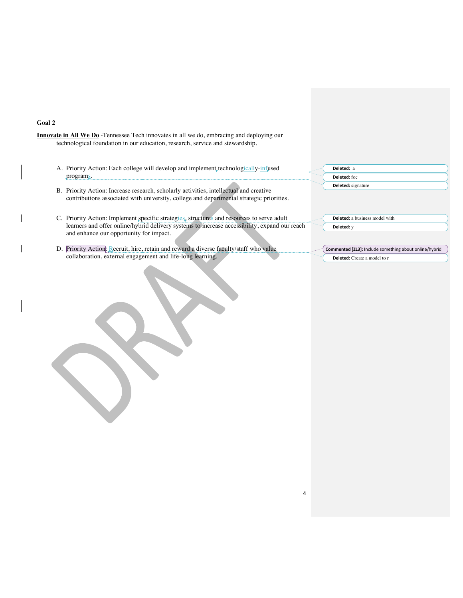#### **Goal 2**

**Innovate in All We Do** -Tennessee Tech innovates in all we do, embracing and deploying our technological foundation in our education, research, service and stewardship.

A. Priority Action: Each college will develop and implement technologically-infused programs.

### B. Priority Action: Increase research, scholarly activities, intellectual and creative contributions associated with university, college and departmental strategic priorities.

C. Priority Action: Implement specific strategies, structures and resources to serve adult learners and offer online/hybrid delivery systems to increase accessibility, expand our reach and enhance our opportunity for impact.

D. Priority Action: Recruit, hire, retain and reward a diverse faculty/staff who value collaboration, external engagement and life-long learning.

**Deleted:** a business model with **Deleted:** y

**Deleted:** a **Deleted:** foc **Deleted:** signature

**Commented [ZL3]:** Include something about online/hybrid **Deleted:** Create a model to r

4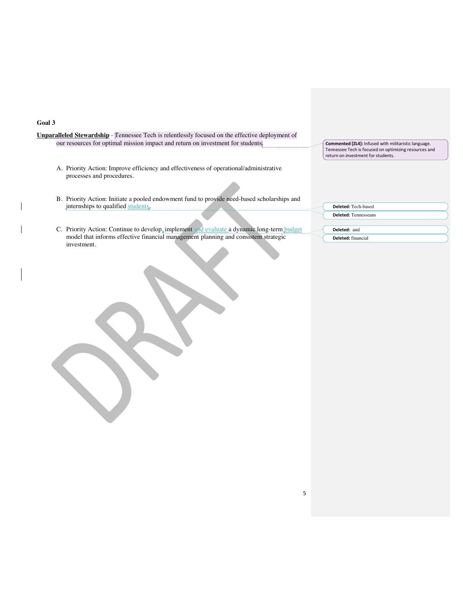# **Goal 3**

 $\mathbf{I}$ 

 $\overline{\phantom{a}}$ 

| Unparalleled Stewardship - [Tennessee Tech is relentlessly focused on the effective deployment of<br>our resources for optimal mission impact and return on investment for students. | Commented [ZL4]: Infused with militaristic language.<br>Tennessee Tech is focused on optimizing resources and<br>return on investment for students. |
|--------------------------------------------------------------------------------------------------------------------------------------------------------------------------------------|-----------------------------------------------------------------------------------------------------------------------------------------------------|
| A. Priority Action: Improve efficiency and effectiveness of operational/administrative<br>processes and procedures.                                                                  |                                                                                                                                                     |
| B. Priority Action: Initiate a pooled endowment fund to provide need-based scholarships and                                                                                          |                                                                                                                                                     |
| internships to qualified students.                                                                                                                                                   | Deleted: Tech-based                                                                                                                                 |
|                                                                                                                                                                                      | <b>Deleted:</b> Tennesseans                                                                                                                         |
| C. Priority Action: Continue to develop, implement and evaluate a dynamic long-term budget<br>model that informs effective financial management planning and consistent strategic    | Deleted: and<br>Deleted: financial                                                                                                                  |
| investment.                                                                                                                                                                          |                                                                                                                                                     |
|                                                                                                                                                                                      |                                                                                                                                                     |